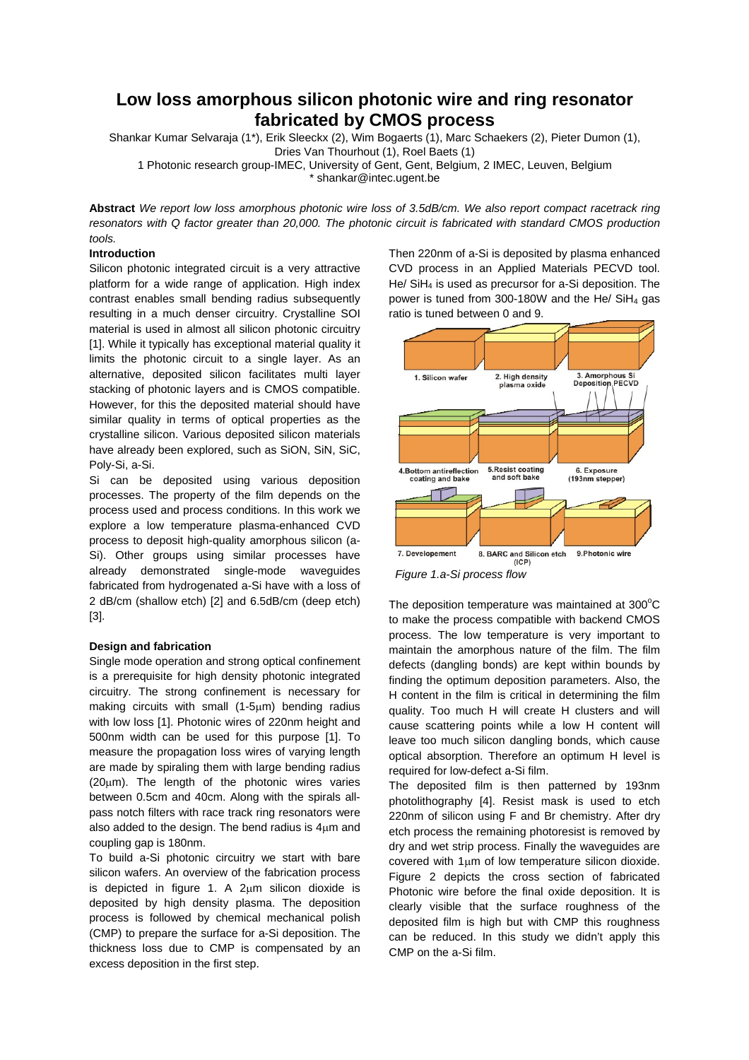# **Low loss amorphous silicon photonic wire and ring resonator fabricated by CMOS process**

Shankar Kumar Selvaraja (1\*), Erik Sleeckx (2), Wim Bogaerts (1), Marc Schaekers (2), Pieter Dumon (1), Dries Van Thourhout (1), Roel Baets (1)

1 Photonic research group-IMEC, University of Gent, Gent, Belgium, 2 IMEC, Leuven, Belgium \* shankar@intec.ugent.be

**Abstract** *We report low loss amorphous photonic wire loss of 3.5dB/cm. We also report compact racetrack ring resonators with Q factor greater than 20,000. The photonic circuit is fabricated with standard CMOS production tools.* 

## **Introduction**

Silicon photonic integrated circuit is a very attractive platform for a wide range of application. High index contrast enables small bending radius subsequently resulting in a much denser circuitry. Crystalline SOI material is used in almost all silicon photonic circuitry [1]. While it typically has exceptional material quality it limits the photonic circuit to a single layer. As an alternative, deposited silicon facilitates multi layer stacking of photonic layers and is CMOS compatible. However, for this the deposited material should have similar quality in terms of optical properties as the crystalline silicon. Various deposited silicon materials have already been explored, such as SiON, SiN, SiC, Poly-Si, a-Si.

Si can be deposited using various deposition processes. The property of the film depends on the process used and process conditions. In this work we explore a low temperature plasma-enhanced CVD process to deposit high-quality amorphous silicon (a-Si). Other groups using similar processes have already demonstrated single-mode waveguides fabricated from hydrogenated a-Si have with a loss of 2 dB/cm (shallow etch) [2] and 6.5dB/cm (deep etch) [3].

### **Design and fabrication**

Single mode operation and strong optical confinement is a prerequisite for high density photonic integrated circuitry. The strong confinement is necessary for making circuits with small (1-5μm) bending radius with low loss [1]. Photonic wires of 220nm height and 500nm width can be used for this purpose [1]. To measure the propagation loss wires of varying length are made by spiraling them with large bending radius  $(20µm)$ . The length of the photonic wires varies between 0.5cm and 40cm. Along with the spirals allpass notch filters with race track ring resonators were also added to the design. The bend radius is 4μm and coupling gap is 180nm.

To build a-Si photonic circuitry we start with bare silicon wafers. An overview of the fabrication process is depicted in figure 1. A  $2\mu$ m silicon dioxide is deposited by high density plasma. The deposition process is followed by chemical mechanical polish (CMP) to prepare the surface for a-Si deposition. The thickness loss due to CMP is compensated by an excess deposition in the first step.

Then 220nm of a-Si is deposited by plasma enhanced CVD process in an Applied Materials PECVD tool. He/ SiH4 is used as precursor for a-Si deposition. The power is tuned from 300-180W and the He/ SiH4 gas ratio is tuned between 0 and 9.



*Figure 1.a-Si process flow* 

The deposition temperature was maintained at  $300^{\circ}$ C to make the process compatible with backend CMOS process. The low temperature is very important to maintain the amorphous nature of the film. The film defects (dangling bonds) are kept within bounds by finding the optimum deposition parameters. Also, the H content in the film is critical in determining the film quality. Too much H will create H clusters and will cause scattering points while a low H content will leave too much silicon dangling bonds, which cause optical absorption. Therefore an optimum H level is required for low-defect a-Si film.

The deposited film is then patterned by 193nm photolithography [4]. Resist mask is used to etch 220nm of silicon using F and Br chemistry. After dry etch process the remaining photoresist is removed by dry and wet strip process. Finally the waveguides are covered with 1μm of low temperature silicon dioxide. Figure 2 depicts the cross section of fabricated Photonic wire before the final oxide deposition. It is clearly visible that the surface roughness of the deposited film is high but with CMP this roughness can be reduced. In this study we didn't apply this CMP on the a-Si film.